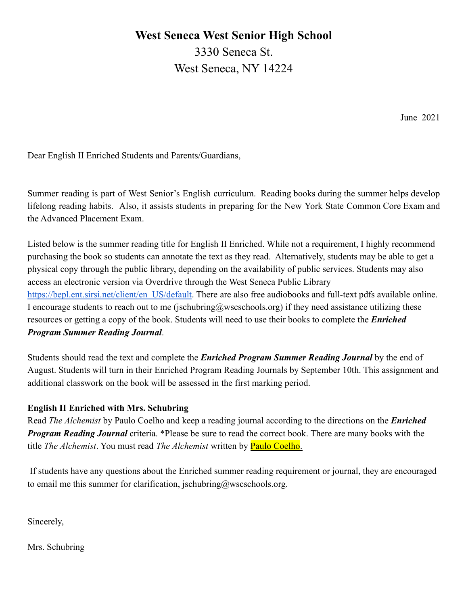# **West Seneca West Senior High School**

3330 Seneca St. West Seneca, NY 14224

June 2021

Dear English II Enriched Students and Parents/Guardians,

Summer reading is part of West Senior's English curriculum. Reading books during the summer helps develop lifelong reading habits. Also, it assists students in preparing for the New York State Common Core Exam and the Advanced Placement Exam.

Listed below is the summer reading title for English II Enriched. While not a requirement, I highly recommend purchasing the book so students can annotate the text as they read. Alternatively, students may be able to get a physical copy through the public library, depending on the availability of public services. Students may also access an electronic version via Overdrive through the West Seneca Public Library [https://bepl.ent.sirsi.net/client/en\\_US/default.](https://bepl.ent.sirsi.net/client/en_US/default) There are also free audiobooks and full-text pdfs available online. I encourage students to reach out to me (jschubring@wscschools.org) if they need assistance utilizing these resources or getting a copy of the book. Students will need to use their books to complete the *Enriched Program Summer Reading Journal*.

Students should read the text and complete the *Enriched Program Summer Reading Journal* by the end of August. Students will turn in their Enriched Program Reading Journals by September 10th. This assignment and additional classwork on the book will be assessed in the first marking period.

# **English II Enriched with Mrs. Schubring**

Read *The Alchemist* by Paulo Coelho and keep a reading journal according to the directions on the *Enriched Program Reading Journal* criteria. \*Please be sure to read the correct book. There are many books with the title *The Alchemist*. You must read *The Alchemist* written by Paulo Coelho.

If students have any questions about the Enriched summer reading requirement or journal, they are encouraged to email me this summer for clarification, jschubring@wscschools.org.

Sincerely,

Mrs. Schubring